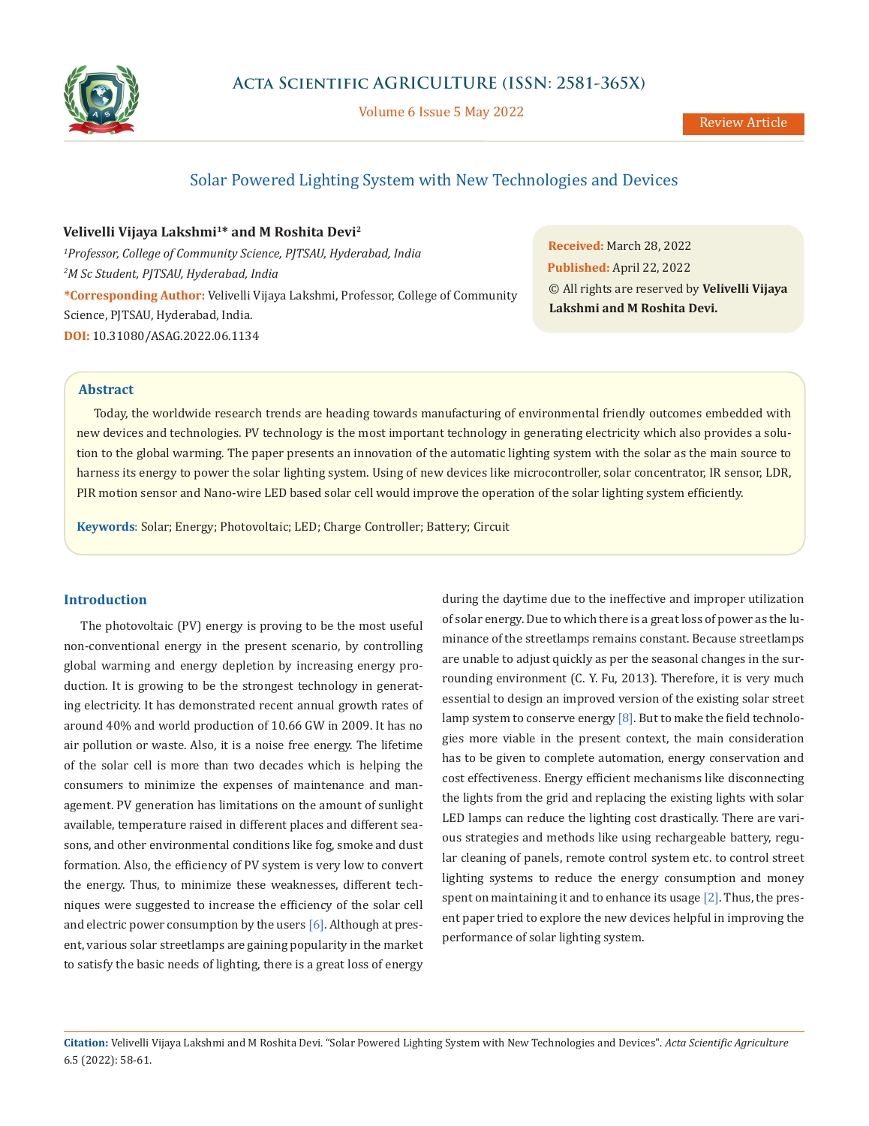

Volume 6 Issue 5 May 2022

# Solar Powered Lighting System with New Technologies and Devices

**Velivelli Vijaya Lakshmi1\* and M Roshita Devi2**

*1 Professor, College of Community Science, PJTSAU, Hyderabad, India 2 M Sc Student, PJTSAU, Hyderabad, India* **\*Corresponding Author:** Velivelli Vijaya Lakshmi, Professor, College of Community Science, PJTSAU, Hyderabad, India. **DOI:** [10.31080/ASAG.2022.06.1134](https://actascientific.com/ASAG/pdf/ASAG-06-1134.pdf)

**Received:** March 28, 2022 **Published:** April 22, 2022 © All rights are reserved by **Velivelli Vijaya Lakshmi and M Roshita Devi.**

# **Abstract**

Today, the worldwide research trends are heading towards manufacturing of environmental friendly outcomes embedded with new devices and technologies. PV technology is the most important technology in generating electricity which also provides a solution to the global warming. The paper presents an innovation of the automatic lighting system with the solar as the main source to harness its energy to power the solar lighting system. Using of new devices like microcontroller, solar concentrator, IR sensor, LDR, PIR motion sensor and Nano-wire LED based solar cell would improve the operation of the solar lighting system efficiently.

**Keywords**: Solar; Energy; Photovoltaic; LED; Charge Controller; Battery; Circuit

## **Introduction**

The photovoltaic (PV) energy is proving to be the most useful non-conventional energy in the present scenario, by controlling global warming and energy depletion by increasing energy production. It is growing to be the strongest technology in generating electricity. It has demonstrated recent annual growth rates of around 40% and world production of 10.66 GW in 2009. It has no air pollution or waste. Also, it is a noise free energy. The lifetime of the solar cell is more than two decades which is helping the consumers to minimize the expenses of maintenance and management. PV generation has limitations on the amount of sunlight available, temperature raised in different places and different seasons, and other environmental conditions like fog, smoke and dust formation. Also, the efficiency of PV system is very low to convert the energy. Thus, to minimize these weaknesses, different techniques were suggested to increase the efficiency of the solar cell and electric power consumption by the users  $[6]$ . Although at present, various solar streetlamps are gaining popularity in the market to satisfy the basic needs of lighting, there is a great loss of energy during the daytime due to the ineffective and improper utilization of solar energy. Due to which there is a great loss of power as the luminance of the streetlamps remains constant. Because streetlamps are unable to adjust quickly as per the seasonal changes in the surrounding environment (C. Y. Fu, 2013). Therefore, it is very much essential to design an improved version of the existing solar street lamp system to conserve energy [8]. But to make the field technologies more viable in the present context, the main consideration has to be given to complete automation, energy conservation and cost effectiveness. Energy efficient mechanisms like disconnecting the lights from the grid and replacing the existing lights with solar LED lamps can reduce the lighting cost drastically. There are various strategies and methods like using rechargeable battery, regular cleaning of panels, remote control system etc. to control street lighting systems to reduce the energy consumption and money spent on maintaining it and to enhance its usage [2]. Thus, the present paper tried to explore the new devices helpful in improving the performance of solar lighting system.

**Citation:** Velivelli Vijaya Lakshmi and M Roshita Devi. "Solar Powered Lighting System with New Technologies and Devices". *Acta Scientific Agriculture*  6.5 (2022): 58-61.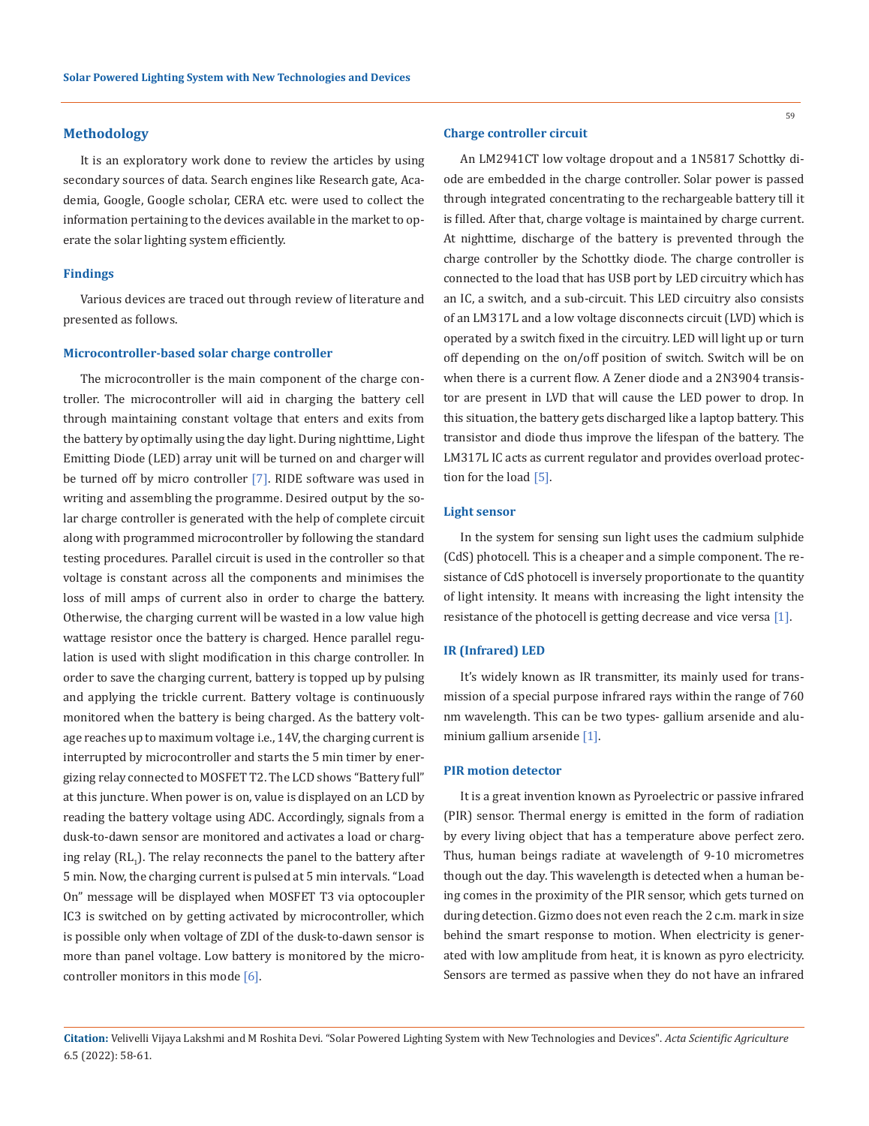#### **Methodology**

It is an exploratory work done to review the articles by using secondary sources of data. Search engines like Research gate, Academia, Google, Google scholar, CERA etc. were used to collect the information pertaining to the devices available in the market to operate the solar lighting system efficiently.

#### **Findings**

Various devices are traced out through review of literature and presented as follows.

#### **Microcontroller-based solar charge controller**

The microcontroller is the main component of the charge controller. The microcontroller will aid in charging the battery cell through maintaining constant voltage that enters and exits from the battery by optimally using the day light. During nighttime, Light Emitting Diode (LED) array unit will be turned on and charger will be turned off by micro controller [7]. RIDE software was used in writing and assembling the programme. Desired output by the solar charge controller is generated with the help of complete circuit along with programmed microcontroller by following the standard testing procedures. Parallel circuit is used in the controller so that voltage is constant across all the components and minimises the loss of mill amps of current also in order to charge the battery. Otherwise, the charging current will be wasted in a low value high wattage resistor once the battery is charged. Hence parallel regulation is used with slight modification in this charge controller. In order to save the charging current, battery is topped up by pulsing and applying the trickle current. Battery voltage is continuously monitored when the battery is being charged. As the battery voltage reaches up to maximum voltage i.e., 14V, the charging current is interrupted by microcontroller and starts the 5 min timer by energizing relay connected to MOSFET T2. The LCD shows "Battery full" at this juncture. When power is on, value is displayed on an LCD by reading the battery voltage using ADC. Accordingly, signals from a dusk-to-dawn sensor are monitored and activates a load or charging relay  $(\mathtt{RL}_{1})$ . The relay reconnects the panel to the battery after 5 min. Now, the charging current is pulsed at 5 min intervals. "Load On" message will be displayed when MOSFET T3 via optocoupler IC3 is switched on by getting activated by microcontroller, which is possible only when voltage of ZDI of the dusk-to-dawn sensor is more than panel voltage. Low battery is monitored by the microcontroller monitors in this mode  $[6]$ .

### **Charge controller circuit**

An LM2941CT low voltage dropout and a 1N5817 Schottky diode are embedded in the charge controller. Solar power is passed through integrated concentrating to the rechargeable battery till it is filled. After that, charge voltage is maintained by charge current. At nighttime, discharge of the battery is prevented through the charge controller by the Schottky diode. The charge controller is connected to the load that has USB port by LED circuitry which has an IC, a switch, and a sub-circuit. This LED circuitry also consists of an LM317L and a low voltage disconnects circuit (LVD) which is operated by a switch fixed in the circuitry. LED will light up or turn off depending on the on/off position of switch. Switch will be on when there is a current flow. A Zener diode and a 2N3904 transistor are present in LVD that will cause the LED power to drop. In this situation, the battery gets discharged like a laptop battery. This transistor and diode thus improve the lifespan of the battery. The LM317L IC acts as current regulator and provides overload protection for the load [5].

#### **Light sensor**

In the system for sensing sun light uses the cadmium sulphide (CdS) photocell. This is a cheaper and a simple component. The resistance of CdS photocell is inversely proportionate to the quantity of light intensity. It means with increasing the light intensity the resistance of the photocell is getting decrease and vice versa [1].

#### **IR (Infrared) LED**

It's widely known as IR transmitter, its mainly used for transmission of a special purpose infrared rays within the range of 760 nm wavelength. This can be two types- gallium arsenide and aluminium gallium arsenide [1].

### **PIR motion detector**

It is a great invention known as Pyroelectric or passive infrared (PIR) sensor. Thermal energy is emitted in the form of radiation by every living object that has a temperature above perfect zero. Thus, human beings radiate at wavelength of 9-10 micrometres though out the day. This wavelength is detected when a human being comes in the proximity of the PIR sensor, which gets turned on during detection. Gizmo does not even reach the 2 c.m. mark in size behind the smart response to motion. When electricity is generated with low amplitude from heat, it is known as pyro electricity. Sensors are termed as passive when they do not have an infrared

**Citation:** Velivelli Vijaya Lakshmi and M Roshita Devi. "Solar Powered Lighting System with New Technologies and Devices". *Acta Scientific Agriculture*  6.5 (2022): 58-61.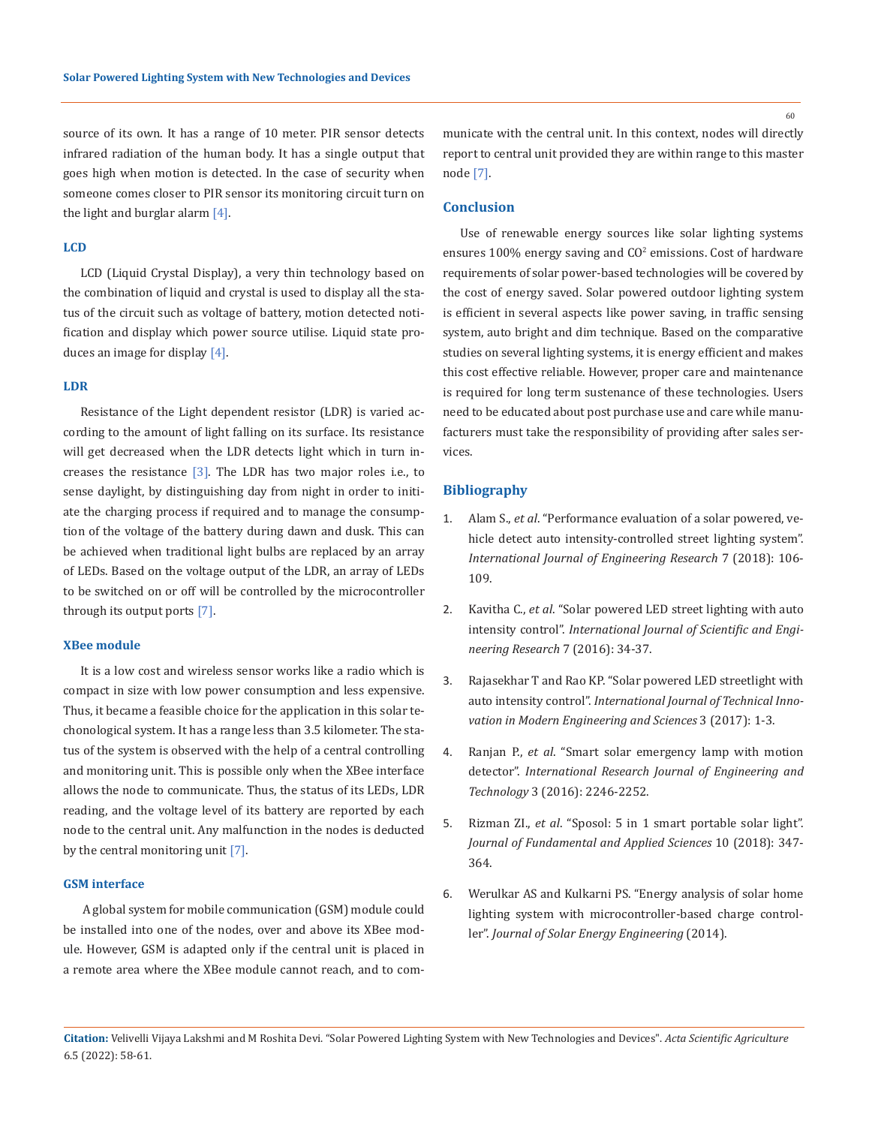source of its own. It has a range of 10 meter. PIR sensor detects infrared radiation of the human body. It has a single output that goes high when motion is detected. In the case of security when someone comes closer to PIR sensor its monitoring circuit turn on the light and burglar alarm [4].

#### **LCD**

LCD (Liquid Crystal Display), a very thin technology based on the combination of liquid and crystal is used to display all the status of the circuit such as voltage of battery, motion detected notification and display which power source utilise. Liquid state produces an image for display [4].

#### **LDR**

Resistance of the Light dependent resistor (LDR) is varied according to the amount of light falling on its surface. Its resistance will get decreased when the LDR detects light which in turn increases the resistance  $[3]$ . The LDR has two major roles i.e., to sense daylight, by distinguishing day from night in order to initiate the charging process if required and to manage the consumption of the voltage of the battery during dawn and dusk. This can be achieved when traditional light bulbs are replaced by an array of LEDs. Based on the voltage output of the LDR, an array of LEDs to be switched on or off will be controlled by the microcontroller through its output ports [7].

#### **XBee module**

It is a low cost and wireless sensor works like a radio which is compact in size with low power consumption and less expensive. Thus, it became a feasible choice for the application in this solar techonological system. It has a range less than 3.5 kilometer. The status of the system is observed with the help of a central controlling and monitoring unit. This is possible only when the XBee interface allows the node to communicate. Thus, the status of its LEDs, LDR reading, and the voltage level of its battery are reported by each node to the central unit. Any malfunction in the nodes is deducted by the central monitoring unit [7].

#### **GSM interface**

 A global system for mobile communication (GSM) module could be installed into one of the nodes, over and above its XBee module. However, GSM is adapted only if the central unit is placed in a remote area where the XBee module cannot reach, and to communicate with the central unit. In this context, nodes will directly report to central unit provided they are within range to this master node [7].

#### **Conclusion**

Use of renewable energy sources like solar lighting systems ensures  $100\%$  energy saving and  $\rm CO^2$  emissions. Cost of hardware requirements of solar power-based technologies will be covered by the cost of energy saved. Solar powered outdoor lighting system is efficient in several aspects like power saving, in traffic sensing system, auto bright and dim technique. Based on the comparative studies on several lighting systems, it is energy efficient and makes this cost effective reliable. However, proper care and maintenance is required for long term sustenance of these technologies. Users need to be educated about post purchase use and care while manufacturers must take the responsibility of providing after sales services.

### **Bibliography**

- 1. Alam S., *et al*[. "Performance evaluation of a solar powered, ve](https://www.indianjournals.com/ijor.aspx?target=ijor:ijer&volume=7&issue=6&article=002)[hicle detect auto intensity-controlled street lighting system".](https://www.indianjournals.com/ijor.aspx?target=ijor:ijer&volume=7&issue=6&article=002)  *[International Journal of Engineering Research](https://www.indianjournals.com/ijor.aspx?target=ijor:ijer&volume=7&issue=6&article=002)* 7 (2018): 106- [109.](https://www.indianjournals.com/ijor.aspx?target=ijor:ijer&volume=7&issue=6&article=002)
- 2. Kavitha C., *et al*[. "Solar powered LED street lighting with auto](https://www.elprocus.com/solar-powered-led-street-light-control-circuit/)  intensity control". *[International Journal of Scientific and Engi](https://www.elprocus.com/solar-powered-led-street-light-control-circuit/)[neering Research](https://www.elprocus.com/solar-powered-led-street-light-control-circuit/)* 7 (2016): 34-37.
- 3. [Rajasekhar T and Rao KP. "Solar powered LED streetlight with](https://www.elprocus.com/solar-powered-led-street-light-control-circuit/)  auto intensity control". *[International Journal of Technical Inno](https://www.elprocus.com/solar-powered-led-street-light-control-circuit/)[vation in Modern Engineering and Sciences](https://www.elprocus.com/solar-powered-led-street-light-control-circuit/)* 3 (2017): 1-3.
- 4. Ranjan P., *et al*[. "Smart solar emergency lamp with motion](https://www.irjet.net/archives/V3/i5/IRJET-V3I5477.pdf)  detector". *[International Research Journal of Engineering and](https://www.irjet.net/archives/V3/i5/IRJET-V3I5477.pdf)  Technology* [3 \(2016\): 2246-2252.](https://www.irjet.net/archives/V3/i5/IRJET-V3I5477.pdf)
- 5. Rizman ZI., *et al*[. "Sposol: 5 in 1 smart portable solar light".](https://www.researchgate.net/publication/323142289_SPOSOL_5_IN_1_SMART_PORTABLE_SOLAR_LIGHT)  *[Journal of Fundamental and Applied Sciences](https://www.researchgate.net/publication/323142289_SPOSOL_5_IN_1_SMART_PORTABLE_SOLAR_LIGHT)* 10 (2018): 347- [364.](https://www.researchgate.net/publication/323142289_SPOSOL_5_IN_1_SMART_PORTABLE_SOLAR_LIGHT)
- 6. [Werulkar AS and Kulkarni PS. "Energy analysis of solar home](https://www.researchgate.net/publication/270773442_Energy_Analysis_of_Solar_Home_Lighting_System_With_Microcontroller-Based_Charge_Controller)  [lighting system with microcontroller-based charge control](https://www.researchgate.net/publication/270773442_Energy_Analysis_of_Solar_Home_Lighting_System_With_Microcontroller-Based_Charge_Controller)ler". *[Journal of Solar Energy Engineering](https://www.researchgate.net/publication/270773442_Energy_Analysis_of_Solar_Home_Lighting_System_With_Microcontroller-Based_Charge_Controller)* (2014).

**Citation:** Velivelli Vijaya Lakshmi and M Roshita Devi. "Solar Powered Lighting System with New Technologies and Devices". *Acta Scientific Agriculture*  6.5 (2022): 58-61.